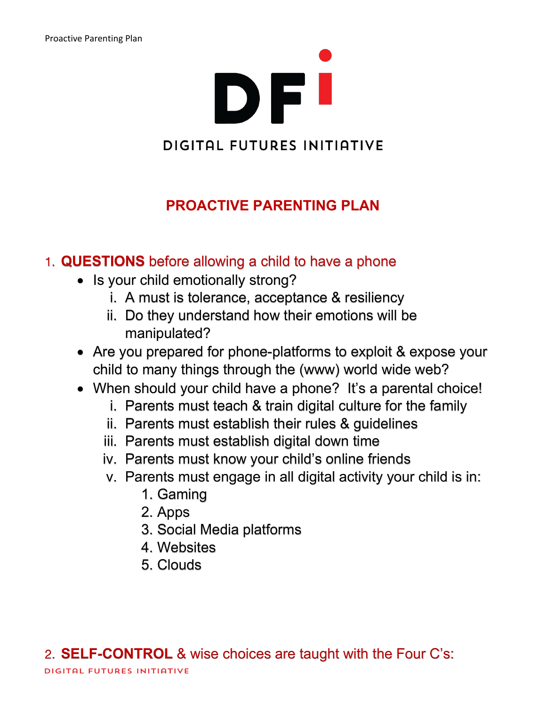DFI DIGITAL FUTURES INITIATIVE

## **PROACTIVE PARENTING PLAN**

#### 1. **QUESTIONS** before allowing a child to have a phone

- Is your child emotionally strong?
	- i. A must is tolerance, acceptance & resiliency
	- ii. Do they understand how their emotions will be manipulated?
- Are you prepared for phone-platforms to exploit & expose your child to many things through the (www) world wide web?
- When should your child have a phone? It's a parental choice!
	- i. Parents must teach & train digital culture for the family
	- ii. Parents must establish their rules & guidelines
	- iii. Parents must establish digital down time
	- iv. Parents must know your child's online friends
	- v. Parents must engage in all digital activity your child is in:
		- 1. Gaming
		- 2. Apps
		- 3. Social Media platforms
		- 4. Websites
		- 5. Clouds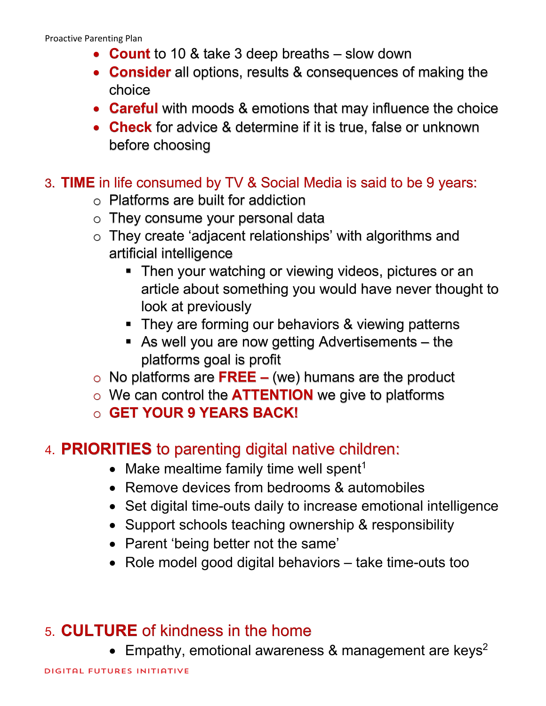- **Count** to 10 & take 3 deep breaths slow down
- **Consider** all options, results & consequences of making the choice
- **Careful** with moods & emotions that may influence the choice
- **Check** for advice & determine if it is true, false or unknown before choosing
- 3. **TIME** in life consumed by TV & Social Media is said to be 9 years:
	- o Platforms are built for addiction
	- o They consume your personal data
	- o They create 'adjacent relationships' with algorithms and artificial intelligence
		- Then your watching or viewing videos, pictures or an article about something you would have never thought to look at previously
		- **They are forming our behaviors & viewing patterns**
		- $\blacksquare$  As well you are now getting Advertisements the platforms goal is profit
	- o No platforms are **FREE –** (we) humans are the product
	- o We can control the **ATTENTION** we give to platforms
	- o **GET YOUR 9 YEARS BACK!**

## 4. **PRIORITIES** to parenting digital native children:

- Make mealtime family time well spent<sup>1</sup>
- Remove devices from bedrooms & automobiles
- Set digital time-outs daily to increase emotional intelligence
- Support schools teaching ownership & responsibility
- Parent 'being better not the same'
- Role model good digital behaviors take time-outs too

# 5. **CULTURE** of kindness in the home

• Empathy, emotional awareness & management are keys<sup>2</sup>